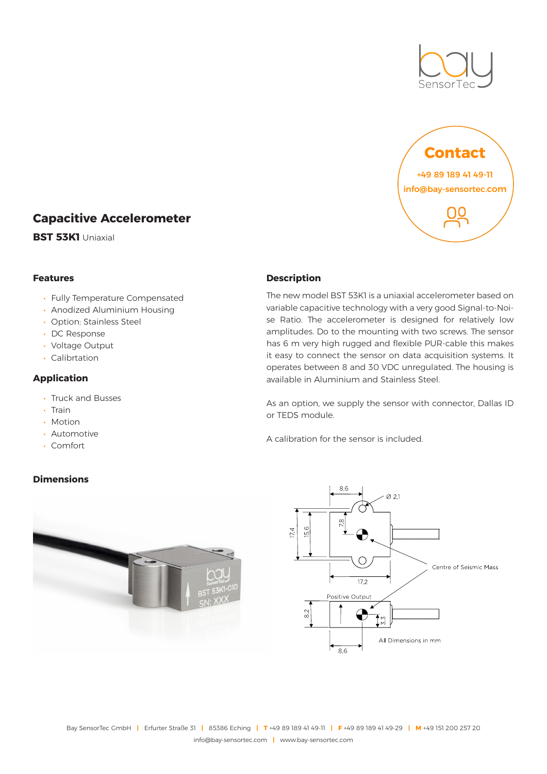



# **Capacitive Accelerometer**

**BST 53K1** Uniaxial

#### **Features**

- Fully Temperature Compensated
- Anodized Aluminium Housing
- Option: Stainless Steel
- DC Response
- Voltage Output
- Calibrtation

### **Application**

- Truck and Busses
- Train
- Motion
- Automotive
- Comfort

## **Dimensions**



The new model BST 53K1 is a uniaxial accelerometer based on variable capacitive technology with a very good Signal-to-Noise Ratio. The accelerometer is designed for relatively low amplitudes. Do to the mounting with two screws. The sensor has 6 m very high rugged and flexible PUR-cable this makes it easy to connect the sensor on data acquisition systems. It operates between 8 and 30 VDC unregulated. The housing is available in Aluminium and Stainless Steel.

As an option, we supply the sensor with connector, Dallas ID or TEDS module.

A calibration for the sensor is included.